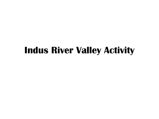# **Indus River Valley Activity**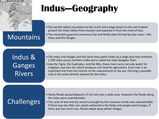

# **Indus—Geography**

- The world's tallest mountains to the north and a large desert to the east helped protect the Indus Valley from invasion and separate it from the most of Asia.
- **MOUNTAINS** Fine mountains guard an enormous flat and fertile plain formed by two rivers—the Indus and the Ganges.

Indus & Ganges Rivers

- The Indus and Ganges and the lands they water make up a large area that stretches 1,700 miles across northern India and is called the Indo-Gangetic Plain.
- Like the Tigris, the Euphrates, and the Nile, these rivers carry not only water for irrigation, but also silt, which produces rich land for agriculture. Each river is an important link from the interior of the subcontinent to the sea. Farming is possible only in the areas directly watered by the Indus.

# Challenges

- Yearly floods spread deposits of rich soil over a wide area. However, the floods along the Indus were unpredictable.
- The cycle of wet and dry seasons brought by the monsoon winds was unpredictable. If there was too little rain, plants withered in the fields and people went hungry. If there was too much rain, floods swept away whole villages.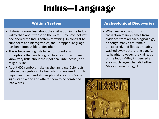# **Indus—Language**

## Writing System

- Historians know less about the civilization in the Indus Valley than about those to the west. They have not yet deciphered the Indus system of writing. In contrast to cuneiform and hieroglyphics, the Harappan language has been impossible to decipher.
- This is because linguists have not found any inscriptions that are bilingual. As a result, historians know very little about their political, intellectual, and religious life.
- About 400 symbols make up the language. Scientists believe the symbols, like hieroglyphs, are used both to depict an object and also as phonetic sounds. Some signs stand alone and others seem to be combined into words.

### Archeological Discoveries

• What we know about this civilization mainly comes from evidence from archaeological digs, although many sites remain unexplored, and floods probably washed away others long ago. At its height, however, the civilization of the Indus Valley influenced an area much larger than did either Mesopotamia or Egypt.

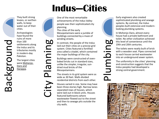# **Indus—Cities**

One of the most remarkable achievements of the Indus Valley people was their sophisticated city planning.

The cities of the early Mesopotamians were a jumble of buildings connected by a maze of winding streets.

In contrast, the people of the Indus laid out their cities on a precise grid system. Cities featured a fortified area called a citadel, which contained the major buildings of the city.

Buildings were constructed of ovenbaked bricks cut in standard sizes, unlike the simpler, irregular, sundried mud bricks of the Mesopotamians.

The streets in its grid system were as wide as 30 feet. Walls divided residential districts from each other.

Houses varied in size. Some may have been three stories high. Narrow lanes separated rows of houses, which were laid out in block units. Houses featured bathrooms where wastewater flowed out to the street and then to sewage pits outside the city walls.

Early engineers also created sophisticated plumbing and sewage systems. By contrast, the Indus peoples built extensive and modernlooking plumbing systems.

In Mohenjo-Daro, almost every house had a private bathroom and toilet. No other civilization achieved this level of convenience until the 19th and 20th centuries.

The toilets were neatly built of brick with a wooden seat. Pipes connected to each house carried wastewater into an underground sewer system.

Plumbing

The uniformity in the cities' planning and construction suggests that the Indus peoples had developed a strong central government.



They built strong levees, or earthen walls, to keep water out of their cities.

Archaeologists have found the ruins of more than 100 settlements along the Indus and its tributaries mostly in modern-day Pakistan.

The largest cities were Mohenjo-Daro and Harappa.

Background

# City Planning